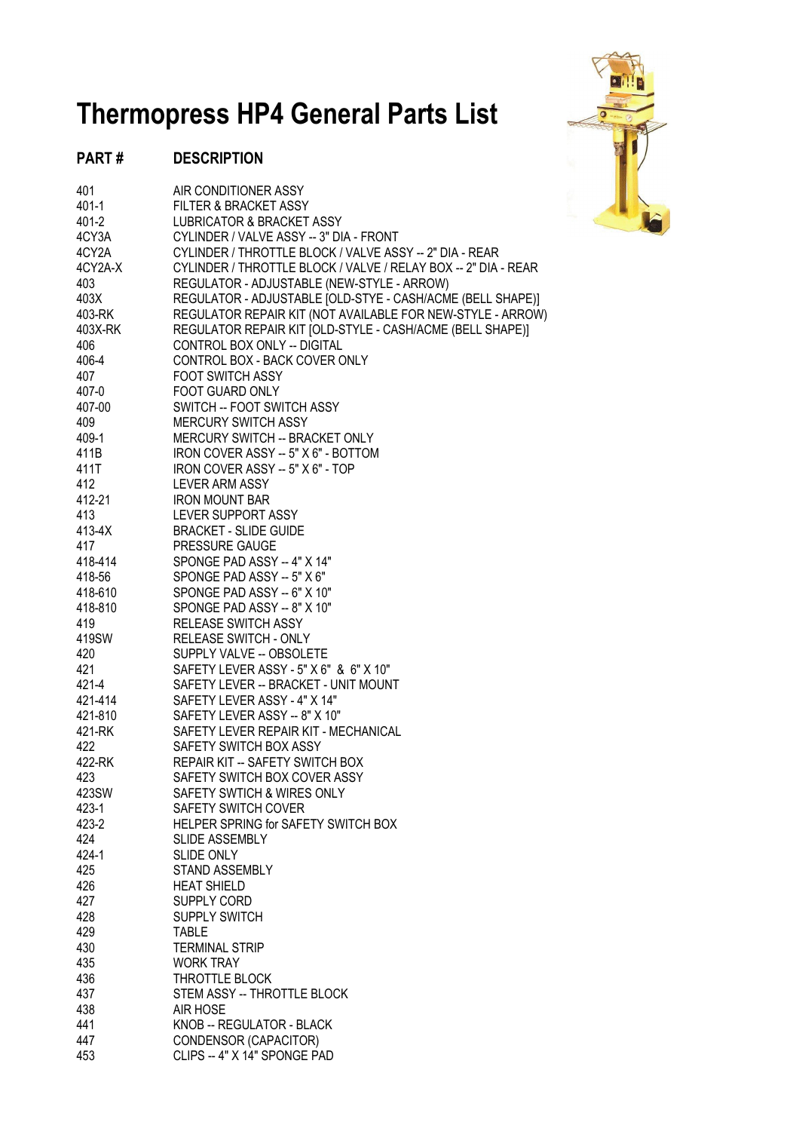## **Thermopress HP4 General Parts List**

## **PART # DESCRIPTION**

| 401     | AIR CONDITIONER ASSY                                           |
|---------|----------------------------------------------------------------|
| 401-1   | FILTER & BRACKET ASSY                                          |
| 401-2   | <b>LUBRICATOR &amp; BRACKET ASSY</b>                           |
| 4CY3A   | CYLINDER / VALVE ASSY -- 3" DIA - FRONT                        |
| 4CY2A   | CYLINDER / THROTTLE BLOCK / VALVE ASSY -- 2" DIA - REAR        |
| 4CY2A-X | CYLINDER / THROTTLE BLOCK / VALVE / RELAY BOX -- 2" DIA - REAR |
| 403     | REGULATOR - ADJUSTABLE (NEW-STYLE - ARROW)                     |
| 403X    | REGULATOR - ADJUSTABLE [OLD-STYE - CASH/ACME (BELL SHAPE)]     |
| 403-RK  | REGULATOR REPAIR KIT (NOT AVAILABLE FOR NEW-STYLE - ARROW)     |
| 403X-RK | REGULATOR REPAIR KIT JOLD-STYLE - CASH/ACME (BELL SHAPE)]      |
| 406     | CONTROL BOX ONLY -- DIGITAL                                    |
| 406-4   | CONTROL BOX - BACK COVER ONLY                                  |
| 407     | <b>FOOT SWITCH ASSY</b>                                        |
| 407-0   | FOOT GUARD ONLY                                                |
|         |                                                                |
| 407-00  | SWITCH -- FOOT SWITCH ASSY                                     |
| 409     | <b>MERCURY SWITCH ASSY</b>                                     |
| 409-1   | MERCURY SWITCH -- BRACKET ONLY                                 |
| 411B    | IRON COVER ASSY -- 5" X 6" - BOTTOM                            |
| 411T    | IRON COVER ASSY -- 5" X 6" - TOP                               |
| 412     | LEVER ARM ASSY                                                 |
| 412-21  | <b>IRON MOUNT BAR</b>                                          |
| 413     | LEVER SUPPORT ASSY                                             |
| 413-4X  | <b>BRACKET - SLIDE GUIDE</b>                                   |
| 417     | PRESSURE GAUGE                                                 |
| 418-414 | SPONGE PAD ASSY -- 4" X 14"                                    |
| 418-56  | SPONGE PAD ASSY -- 5" X 6"                                     |
| 418-610 | SPONGE PAD ASSY -- 6" X 10"                                    |
| 418-810 | SPONGE PAD ASSY -- 8" X 10"                                    |
| 419     | RELEASE SWITCH ASSY                                            |
| 419SW   | RELEASE SWITCH - ONLY                                          |
| 420     | SUPPLY VALVE -- OBSOLETE                                       |
|         |                                                                |
| 421     | SAFETY LEVER ASSY - 5" X 6" & 6" X 10"                         |
| 421-4   | SAFETY LEVER -- BRACKET - UNIT MOUNT                           |
| 421-414 | SAFETY LEVER ASSY - 4" X 14"                                   |
| 421-810 | SAFETY LEVER ASSY -- 8" X 10"                                  |
| 421-RK  | SAFETY LEVER REPAIR KIT - MECHANICAL                           |
| 422     | SAFETY SWITCH BOX ASSY                                         |
| 422-RK  | REPAIR KIT -- SAFETY SWITCH BOX                                |
| 423     | SAFETY SWITCH BOX COVER ASSY                                   |
| 423SW   | SAFETY SWTICH & WIRES ONLY                                     |
| 423-1   | <b>SAFETY SWITCH COVER</b>                                     |
| 423-2   | HELPER SPRING for SAFETY SWITCH BOX                            |
| 424     | <b>SLIDE ASSEMBLY</b>                                          |
| 424-1   | <b>SLIDE ONLY</b>                                              |
| 425     | <b>STAND ASSEMBLY</b>                                          |
| 426     | <b>HEAT SHIELD</b>                                             |
| 427     | SUPPLY CORD                                                    |
| 428     | <b>SUPPLY SWITCH</b>                                           |
| 429     | <b>TABLE</b>                                                   |
| 430     |                                                                |
|         | <b>TERMINAL STRIP</b>                                          |
| 435     | <b>WORK TRAY</b>                                               |
| 436     | THROTTLE BLOCK                                                 |
| 437     | STEM ASSY -- THROTTLE BLOCK                                    |
| 438     | AIR HOSE                                                       |
| 441     | KNOB -- REGULATOR - BLACK                                      |
| 447     | CONDENSOR (CAPACITOR)                                          |
| 453     | CLIPS -- 4" X 14" SPONGE PAD                                   |

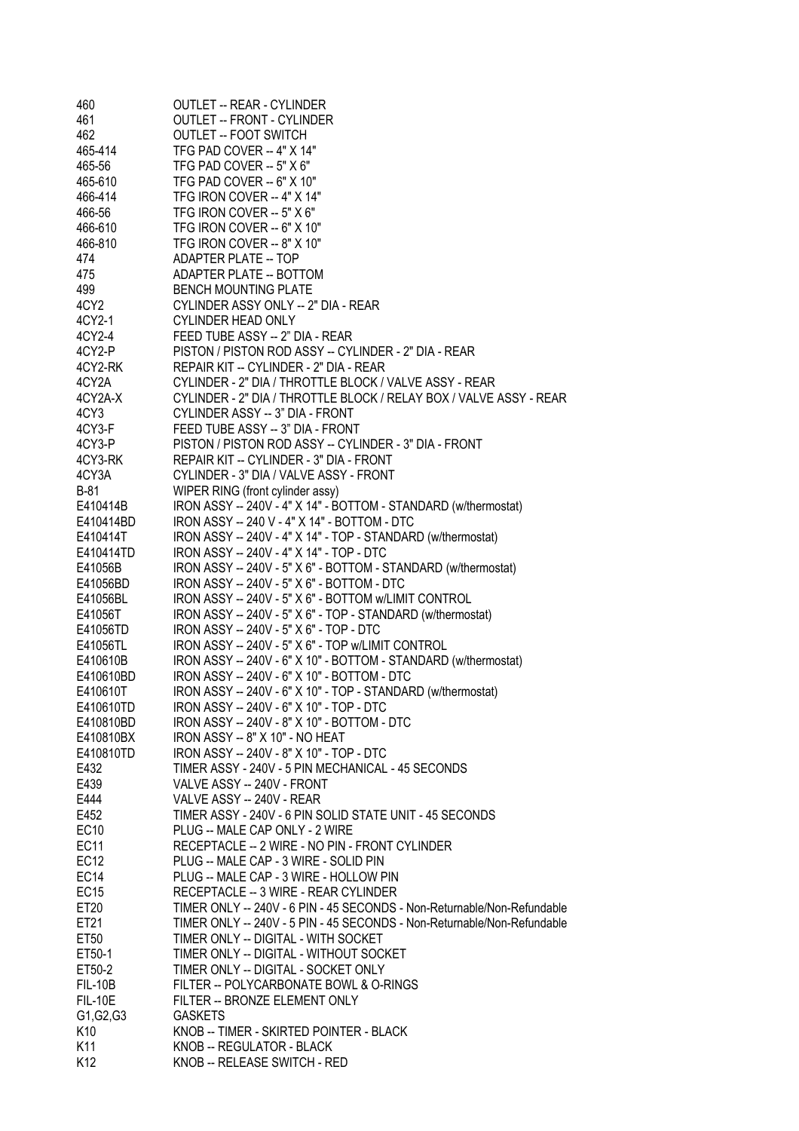| 460              | <b>OUTLET -- REAR - CYLINDER</b>                                        |
|------------------|-------------------------------------------------------------------------|
| 461              | <b>OUTLET -- FRONT - CYLINDER</b>                                       |
| 462              | <b>OUTLET -- FOOT SWITCH</b>                                            |
| 465-414          | TFG PAD COVER -- 4" X 14"                                               |
| 465-56           | TFG PAD COVER -- 5" X 6"                                                |
| 465-610          | TFG PAD COVER -- 6" X 10"                                               |
| 466-414          | TFG IRON COVER -- 4" X 14"                                              |
| 466-56           | TFG IRON COVER -- 5" X 6"                                               |
| 466-610          | TFG IRON COVER -- 6" X 10"                                              |
| 466-810          | TFG IRON COVER -- 8" X 10"                                              |
| 474              | ADAPTER PLATE -- TOP                                                    |
| 475              | <b>ADAPTER PLATE -- BOTTOM</b>                                          |
| 499              | <b>BENCH MOUNTING PLATE</b>                                             |
| 4CY2             | CYLINDER ASSY ONLY -- 2" DIA - REAR                                     |
| 4CY2-1           | <b>CYLINDER HEAD ONLY</b>                                               |
| 4CY2-4           | FEED TUBE ASSY -- 2" DIA - REAR                                         |
| 4CY2-P           | PISTON / PISTON ROD ASSY -- CYLINDER - 2" DIA - REAR                    |
| 4CY2-RK          | REPAIR KIT -- CYLINDER - 2" DIA - REAR                                  |
| 4CY2A            | CYLINDER - 2" DIA / THROTTLE BLOCK / VALVE ASSY - REAR                  |
| 4CY2A-X          | CYLINDER - 2" DIA / THROTTLE BLOCK / RELAY BOX / VALVE ASSY - REAR      |
| 4CY3             | CYLINDER ASSY -- 3" DIA - FRONT                                         |
| 4CY3-F           | FEED TUBE ASSY -- 3" DIA - FRONT                                        |
| 4CY3-P           | PISTON / PISTON ROD ASSY -- CYLINDER - 3" DIA - FRONT                   |
| 4CY3-RK          | REPAIR KIT -- CYLINDER - 3" DIA - FRONT                                 |
| 4CY3A            | CYLINDER - 3" DIA / VALVE ASSY - FRONT                                  |
| <b>B-81</b>      | WIPER RING (front cylinder assy)                                        |
| E410414B         | IRON ASSY -- 240V - 4" X 14" - BOTTOM - STANDARD (w/thermostat)         |
| E410414BD        | IRON ASSY -- 240 V - 4" X 14" - BOTTOM - DTC                            |
| E410414T         | IRON ASSY -- 240V - 4" X 14" - TOP - STANDARD (w/thermostat)            |
| E410414TD        | IRON ASSY -- 240V - 4" X 14" - TOP - DTC                                |
| E41056B          | IRON ASSY -- 240V - 5" X 6" - BOTTOM - STANDARD (w/thermostat)          |
| E41056BD         | IRON ASSY -- 240V - 5" X 6" - BOTTOM - DTC                              |
| E41056BL         | IRON ASSY -- 240V - 5" X 6" - BOTTOM w/LIMIT CONTROL                    |
| E41056T          | IRON ASSY -- 240V - 5" X 6" - TOP - STANDARD (w/thermostat)             |
| E41056TD         | IRON ASSY -- 240V - 5" X 6" - TOP - DTC                                 |
| E41056TL         | IRON ASSY -- 240V - 5" X 6" - TOP w/LIMIT CONTROL                       |
| E410610B         | IRON ASSY -- 240V - 6" X 10" - BOTTOM - STANDARD (w/thermostat)         |
| E410610BD        | IRON ASSY -- 240V - 6" X 10" - BOTTOM - DTC                             |
| E410610T         | IRON ASSY -- 240V - 6" X 10" - TOP - STANDARD (w/thermostat)            |
| E410610TD        | IRON ASSY -- 240V - 6" X 10" - TOP - DTC                                |
| E410810BD        | IRON ASSY -- 240V - 8" X 10" - BOTTOM - DTC                             |
| E410810BX        | IRON ASSY -- 8" X 10" - NO HEAT                                         |
| E410810TD        | IRON ASSY -- 240V - 8" X 10" - TOP - DTC                                |
| E432             | TIMER ASSY - 240V - 5 PIN MECHANICAL - 45 SECONDS                       |
| E439             | VALVE ASSY -- 240V - FRONT                                              |
| E444             | VALVE ASSY -- 240V - REAR                                               |
| E452             | TIMER ASSY - 240V - 6 PIN SOLID STATE UNIT - 45 SECONDS                 |
| <b>EC10</b>      | PLUG -- MALE CAP ONLY - 2 WIRE                                          |
| EC <sub>11</sub> | RECEPTACLE -- 2 WIRE - NO PIN - FRONT CYLINDER                          |
| EC <sub>12</sub> | PLUG -- MALE CAP - 3 WIRE - SOLID PIN                                   |
| EC <sub>14</sub> | PLUG -- MALE CAP - 3 WIRE - HOLLOW PIN                                  |
| EC <sub>15</sub> | RECEPTACLE -- 3 WIRE - REAR CYLINDER                                    |
| ET20             | TIMER ONLY -- 240V - 6 PIN - 45 SECONDS - Non-Returnable/Non-Refundable |
| ET21             | TIMER ONLY -- 240V - 5 PIN - 45 SECONDS - Non-Returnable/Non-Refundable |
| ET50             | TIMER ONLY -- DIGITAL - WITH SOCKET                                     |
| ET50-1           | TIMER ONLY -- DIGITAL - WITHOUT SOCKET                                  |
| ET50-2           | TIMER ONLY -- DIGITAL - SOCKET ONLY                                     |
| <b>FIL-10B</b>   | FILTER -- POLYCARBONATE BOWL & O-RINGS                                  |
| <b>FIL-10E</b>   | FILTER -- BRONZE ELEMENT ONLY                                           |
| G1, G2, G3       | <b>GASKETS</b>                                                          |
| K10              | KNOB -- TIMER - SKIRTED POINTER - BLACK                                 |
| K11              | KNOB -- REGULATOR - BLACK                                               |
| K12              | KNOB -- RELEASE SWITCH - RED                                            |
|                  |                                                                         |